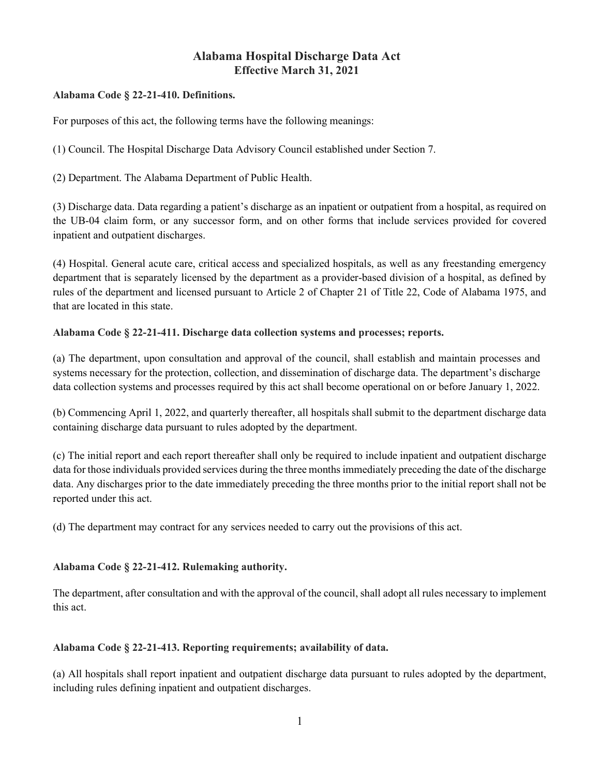# Alabama Hospital Discharge Data Act Effective March 31, 2021

# Alabama Code § 22-21-410. Definitions.

For purposes of this act, the following terms have the following meanings:

(1) Council. The Hospital Discharge Data Advisory Council established under Section 7.

(2) Department. The Alabama Department of Public Health.

(3) Discharge data. Data regarding a patient's discharge as an inpatient or outpatient from a hospital, as required on the UB-04 claim form, or any successor form, and on other forms that include services provided for covered inpatient and outpatient discharges.

(4) Hospital. General acute care, critical access and specialized hospitals, as well as any freestanding emergency department that is separately licensed by the department as a provider-based division of a hospital, as defined by rules of the department and licensed pursuant to Article 2 of Chapter 21 of Title 22, Code of Alabama 1975, and that are located in this state.

# Alabama Code § 22-21-411. Discharge data collection systems and processes; reports.

(a) The department, upon consultation and approval of the council, shall establish and maintain processes and systems necessary for the protection, collection, and dissemination of discharge data. The department's discharge data collection systems and processes required by this act shall become operational on or before January 1, 2022.

(b) Commencing April 1, 2022, and quarterly thereafter, all hospitals shall submit to the department discharge data containing discharge data pursuant to rules adopted by the department.

(c) The initial report and each report thereafter shall only be required to include inpatient and outpatient discharge data for those individuals provided services during the three months immediately preceding the date of the discharge data. Any discharges prior to the date immediately preceding the three months prior to the initial report shall not be reported under this act.

(d) The department may contract for any services needed to carry out the provisions of this act.

#### Alabama Code § 22-21-412. Rulemaking authority.

The department, after consultation and with the approval of the council, shall adopt all rules necessary to implement this act.

#### Alabama Code § 22-21-413. Reporting requirements; availability of data.

(a) All hospitals shall report inpatient and outpatient discharge data pursuant to rules adopted by the department, including rules defining inpatient and outpatient discharges.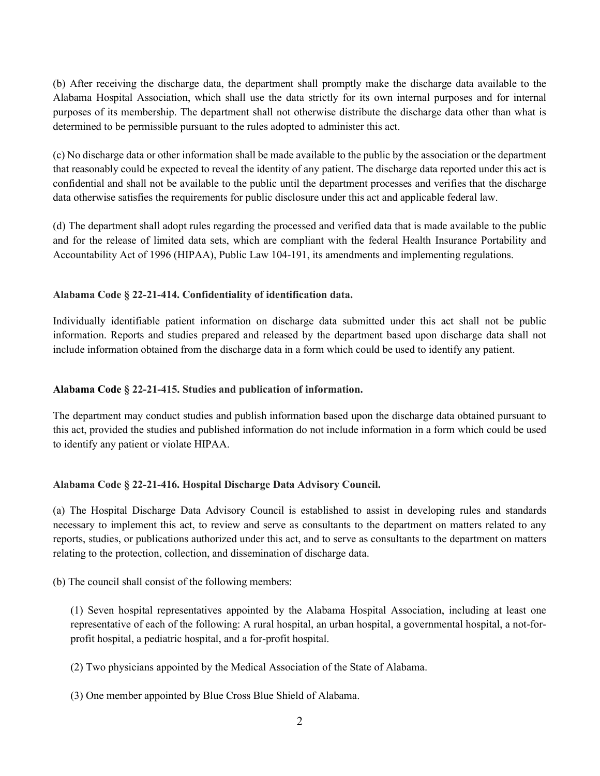(b) After receiving the discharge data, the department shall promptly make the discharge data available to the Alabama Hospital Association, which shall use the data strictly for its own internal purposes and for internal purposes of its membership. The department shall not otherwise distribute the discharge data other than what is determined to be permissible pursuant to the rules adopted to administer this act.

(c) No discharge data or other information shall be made available to the public by the association or the department that reasonably could be expected to reveal the identity of any patient. The discharge data reported under this act is confidential and shall not be available to the public until the department processes and verifies that the discharge data otherwise satisfies the requirements for public disclosure under this act and applicable federal law.

(d) The department shall adopt rules regarding the processed and verified data that is made available to the public and for the release of limited data sets, which are compliant with the federal Health Insurance Portability and Accountability Act of 1996 (HIPAA), Public Law 104-191, its amendments and implementing regulations.

# Alabama Code § 22-21-414. Confidentiality of identification data.

Individually identifiable patient information on discharge data submitted under this act shall not be public information. Reports and studies prepared and released by the department based upon discharge data shall not include information obtained from the discharge data in a form which could be used to identify any patient.

### Alabama Code § 22-21-415. Studies and publication of information.

The department may conduct studies and publish information based upon the discharge data obtained pursuant to this act, provided the studies and published information do not include information in a form which could be used to identify any patient or violate HIPAA.

#### Alabama Code § 22-21-416. Hospital Discharge Data Advisory Council.

(a) The Hospital Discharge Data Advisory Council is established to assist in developing rules and standards necessary to implement this act, to review and serve as consultants to the department on matters related to any reports, studies, or publications authorized under this act, and to serve as consultants to the department on matters relating to the protection, collection, and dissemination of discharge data.

(b) The council shall consist of the following members:

(1) Seven hospital representatives appointed by the Alabama Hospital Association, including at least one representative of each of the following: A rural hospital, an urban hospital, a governmental hospital, a not-forprofit hospital, a pediatric hospital, and a for-profit hospital.

(2) Two physicians appointed by the Medical Association of the State of Alabama.

(3) One member appointed by Blue Cross Blue Shield of Alabama.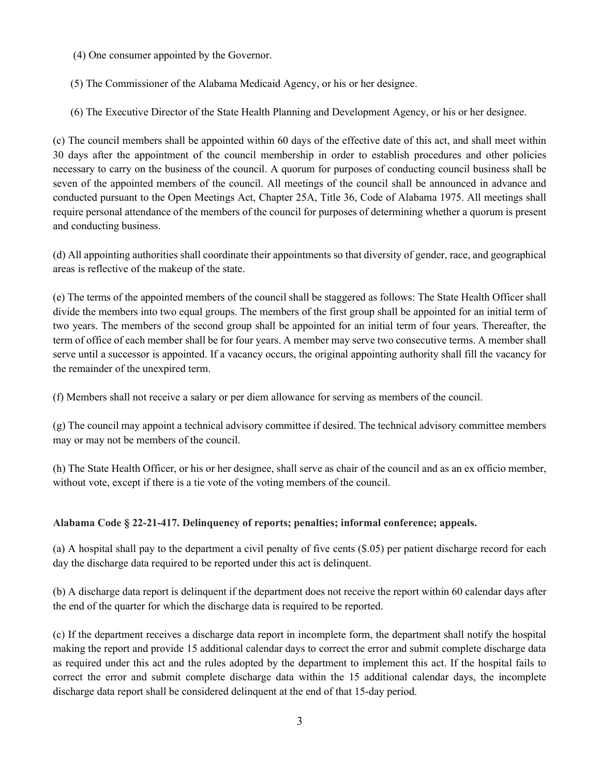(4) One consumer appointed by the Governor.

(5) The Commissioner of the Alabama Medicaid Agency, or his or her designee.

(6) The Executive Director of the State Health Planning and Development Agency, or his or her designee.

(c) The council members shall be appointed within 60 days of the effective date of this act, and shall meet within 30 days after the appointment of the council membership in order to establish procedures and other policies necessary to carry on the business of the council. A quorum for purposes of conducting council business shall be seven of the appointed members of the council. All meetings of the council shall be announced in advance and conducted pursuant to the Open Meetings Act, Chapter 25A, Title 36, Code of Alabama 1975. All meetings shall require personal attendance of the members of the council for purposes of determining whether a quorum is present and conducting business.

(d) All appointing authorities shall coordinate their appointments so that diversity of gender, race, and geographical areas is reflective of the makeup of the state.

(e) The terms of the appointed members of the council shall be staggered as follows: The State Health Officer shall divide the members into two equal groups. The members of the first group shall be appointed for an initial term of two years. The members of the second group shall be appointed for an initial term of four years. Thereafter, the term of office of each member shall be for four years. A member may serve two consecutive terms. A member shall serve until a successor is appointed. If a vacancy occurs, the original appointing authority shall fill the vacancy for the remainder of the unexpired term.

(f) Members shall not receive a salary or per diem allowance for serving as members of the council.

(g) The council may appoint a technical advisory committee if desired. The technical advisory committee members may or may not be members of the council.

(h) The State Health Officer, or his or her designee, shall serve as chair of the council and as an ex officio member, without vote, except if there is a tie vote of the voting members of the council.

# Alabama Code § 22-21-417. Delinquency of reports; penalties; informal conference; appeals.

(a) A hospital shall pay to the department a civil penalty of five cents (\$.05) per patient discharge record for each day the discharge data required to be reported under this act is delinquent.

(b) A discharge data report is delinquent if the department does not receive the report within 60 calendar days after the end of the quarter for which the discharge data is required to be reported.

(c) If the department receives a discharge data report in incomplete form, the department shall notify the hospital making the report and provide 15 additional calendar days to correct the error and submit complete discharge data as required under this act and the rules adopted by the department to implement this act. If the hospital fails to correct the error and submit complete discharge data within the 15 additional calendar days, the incomplete discharge data report shall be considered delinquent at the end of that 15-day period.